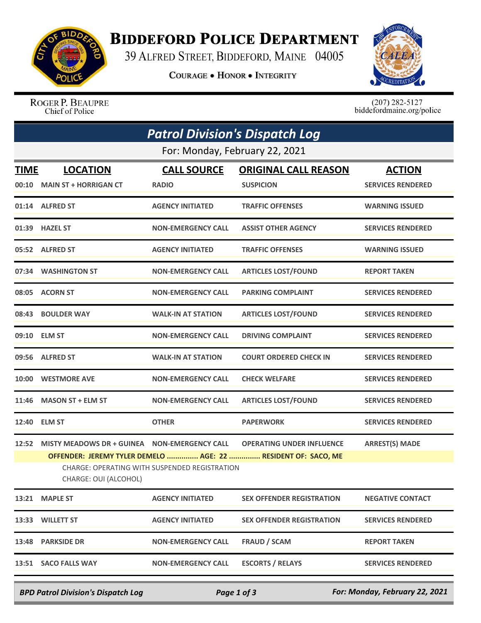

## **BIDDEFORD POLICE DEPARTMENT**

39 ALFRED STREET, BIDDEFORD, MAINE 04005

**COURAGE . HONOR . INTEGRITY** 



ROGER P. BEAUPRE Chief of Police

 $(207)$  282-5127<br>biddefordmaine.org/police

| <b>Patrol Division's Dispatch Log</b> |                                                                       |                                               |                                                                                                   |                                           |  |  |  |
|---------------------------------------|-----------------------------------------------------------------------|-----------------------------------------------|---------------------------------------------------------------------------------------------------|-------------------------------------------|--|--|--|
| For: Monday, February 22, 2021        |                                                                       |                                               |                                                                                                   |                                           |  |  |  |
| <b>TIME</b><br>00:10                  | <b>LOCATION</b><br><b>MAIN ST + HORRIGAN CT</b>                       | <b>CALL SOURCE</b><br><b>RADIO</b>            | <b>ORIGINAL CALL REASON</b><br><b>SUSPICION</b>                                                   | <b>ACTION</b><br><b>SERVICES RENDERED</b> |  |  |  |
|                                       | 01:14 ALFRED ST                                                       | <b>AGENCY INITIATED</b>                       | <b>TRAFFIC OFFENSES</b>                                                                           | <b>WARNING ISSUED</b>                     |  |  |  |
|                                       | 01:39 HAZEL ST                                                        | <b>NON-EMERGENCY CALL</b>                     | <b>ASSIST OTHER AGENCY</b>                                                                        | <b>SERVICES RENDERED</b>                  |  |  |  |
|                                       | 05:52 ALFRED ST                                                       | <b>AGENCY INITIATED</b>                       | <b>TRAFFIC OFFENSES</b>                                                                           | <b>WARNING ISSUED</b>                     |  |  |  |
|                                       | 07:34 WASHINGTON ST                                                   | <b>NON-EMERGENCY CALL</b>                     | <b>ARTICLES LOST/FOUND</b>                                                                        | <b>REPORT TAKEN</b>                       |  |  |  |
|                                       | 08:05 ACORN ST                                                        | <b>NON-EMERGENCY CALL</b>                     | <b>PARKING COMPLAINT</b>                                                                          | <b>SERVICES RENDERED</b>                  |  |  |  |
|                                       | 08:43 BOULDER WAY                                                     | <b>WALK-IN AT STATION</b>                     | <b>ARTICLES LOST/FOUND</b>                                                                        | <b>SERVICES RENDERED</b>                  |  |  |  |
|                                       | 09:10 ELM ST                                                          | <b>NON-EMERGENCY CALL</b>                     | <b>DRIVING COMPLAINT</b>                                                                          | <b>SERVICES RENDERED</b>                  |  |  |  |
|                                       | 09:56 ALFRED ST                                                       | <b>WALK-IN AT STATION</b>                     | <b>COURT ORDERED CHECK IN</b>                                                                     | <b>SERVICES RENDERED</b>                  |  |  |  |
|                                       | 10:00 WESTMORE AVE                                                    | <b>NON-EMERGENCY CALL</b>                     | <b>CHECK WELFARE</b>                                                                              | <b>SERVICES RENDERED</b>                  |  |  |  |
| 11:46                                 | <b>MASON ST + ELM ST</b>                                              | <b>NON-EMERGENCY CALL</b>                     | <b>ARTICLES LOST/FOUND</b>                                                                        | <b>SERVICES RENDERED</b>                  |  |  |  |
|                                       | 12:40 ELM ST                                                          | <b>OTHER</b>                                  | <b>PAPERWORK</b>                                                                                  | <b>SERVICES RENDERED</b>                  |  |  |  |
| 12:52                                 | MISTY MEADOWS DR + GUINEA NON-EMERGENCY CALL<br>CHARGE: OUI (ALCOHOL) | CHARGE: OPERATING WITH SUSPENDED REGISTRATION | <b>OPERATING UNDER INFLUENCE</b><br>OFFENDER: JEREMY TYLER DEMELO  AGE: 22  RESIDENT OF: SACO, ME | <b>ARREST(S) MADE</b>                     |  |  |  |
| 13:21                                 | <b>MAPLE ST</b>                                                       | <b>AGENCY INITIATED</b>                       | <b>SEX OFFENDER REGISTRATION</b>                                                                  | <b>NEGATIVE CONTACT</b>                   |  |  |  |
|                                       | 13:33 WILLETT ST                                                      | <b>AGENCY INITIATED</b>                       | <b>SEX OFFENDER REGISTRATION</b>                                                                  | <b>SERVICES RENDERED</b>                  |  |  |  |
| 13:48                                 | <b>PARKSIDE DR</b>                                                    | <b>NON-EMERGENCY CALL</b>                     | <b>FRAUD / SCAM</b>                                                                               | <b>REPORT TAKEN</b>                       |  |  |  |
|                                       | 13:51 SACO FALLS WAY                                                  | <b>NON-EMERGENCY CALL</b>                     | <b>ESCORTS / RELAYS</b>                                                                           | <b>SERVICES RENDERED</b>                  |  |  |  |

*BPD Patrol Division's Dispatch Log Page 1 of 3 For: Monday, February 22, 2021*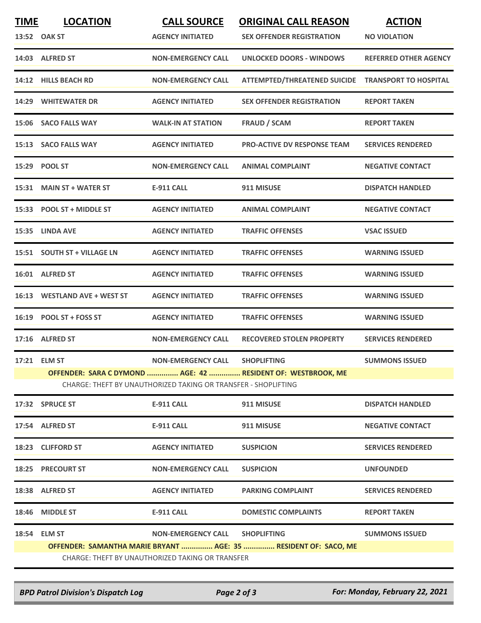| <b>TIME</b> | <b>LOCATION</b>                                  | <b>CALL SOURCE</b>                                             | <b>ORIGINAL CALL REASON</b>                                     | <b>ACTION</b>                |  |  |  |
|-------------|--------------------------------------------------|----------------------------------------------------------------|-----------------------------------------------------------------|------------------------------|--|--|--|
|             | 13:52 OAK ST                                     | <b>AGENCY INITIATED</b>                                        | <b>SEX OFFENDER REGISTRATION</b>                                | <b>NO VIOLATION</b>          |  |  |  |
|             | 14:03 ALFRED ST                                  | <b>NON-EMERGENCY CALL</b>                                      | <b>UNLOCKED DOORS - WINDOWS</b>                                 | <b>REFERRED OTHER AGENCY</b> |  |  |  |
| 14:12       | <b>HILLS BEACH RD</b>                            | <b>NON-EMERGENCY CALL</b>                                      | ATTEMPTED/THREATENED SUICIDE TRANSPORT TO HOSPITAL              |                              |  |  |  |
|             | 14:29 WHITEWATER DR                              | <b>AGENCY INITIATED</b>                                        | <b>SEX OFFENDER REGISTRATION</b>                                | <b>REPORT TAKEN</b>          |  |  |  |
| 15:06       | <b>SACO FALLS WAY</b>                            | <b>WALK-IN AT STATION</b>                                      | <b>FRAUD / SCAM</b>                                             | <b>REPORT TAKEN</b>          |  |  |  |
|             | 15:13 SACO FALLS WAY                             | <b>AGENCY INITIATED</b>                                        | <b>PRO-ACTIVE DV RESPONSE TEAM</b>                              | <b>SERVICES RENDERED</b>     |  |  |  |
| 15:29       | <b>POOL ST</b>                                   | <b>NON-EMERGENCY CALL</b>                                      | <b>ANIMAL COMPLAINT</b>                                         | <b>NEGATIVE CONTACT</b>      |  |  |  |
|             | 15:31 MAIN ST + WATER ST                         | <b>E-911 CALL</b>                                              | 911 MISUSE                                                      | <b>DISPATCH HANDLED</b>      |  |  |  |
| 15:33       | <b>POOL ST + MIDDLE ST</b>                       | <b>AGENCY INITIATED</b>                                        | <b>ANIMAL COMPLAINT</b>                                         | <b>NEGATIVE CONTACT</b>      |  |  |  |
| 15:35       | <b>LINDA AVE</b>                                 | <b>AGENCY INITIATED</b>                                        | <b>TRAFFIC OFFENSES</b>                                         | <b>VSAC ISSUED</b>           |  |  |  |
|             | 15:51 SOUTH ST + VILLAGE LN                      | <b>AGENCY INITIATED</b>                                        | <b>TRAFFIC OFFENSES</b>                                         | <b>WARNING ISSUED</b>        |  |  |  |
| 16:01       | <b>ALFRED ST</b>                                 | <b>AGENCY INITIATED</b>                                        | <b>TRAFFIC OFFENSES</b>                                         | <b>WARNING ISSUED</b>        |  |  |  |
| 16:13       | <b>WESTLAND AVE + WEST ST</b>                    | <b>AGENCY INITIATED</b>                                        | <b>TRAFFIC OFFENSES</b>                                         | <b>WARNING ISSUED</b>        |  |  |  |
|             | 16:19 POOL ST + FOSS ST                          | <b>AGENCY INITIATED</b>                                        | <b>TRAFFIC OFFENSES</b>                                         | <b>WARNING ISSUED</b>        |  |  |  |
|             | 17:16 ALFRED ST                                  | <b>NON-EMERGENCY CALL</b>                                      | <b>RECOVERED STOLEN PROPERTY</b>                                | <b>SERVICES RENDERED</b>     |  |  |  |
|             | 17:21 ELM ST                                     | <b>NON-EMERGENCY CALL</b>                                      | <b>SHOPLIFTING</b>                                              | <b>SUMMONS ISSUED</b>        |  |  |  |
|             |                                                  | CHARGE: THEFT BY UNAUTHORIZED TAKING OR TRANSFER - SHOPLIFTING | OFFENDER: SARA C DYMOND  AGE: 42  RESIDENT OF: WESTBROOK, ME    |                              |  |  |  |
|             | 17:32 SPRUCE ST                                  | <b>E-911 CALL</b>                                              | 911 MISUSE                                                      | <b>DISPATCH HANDLED</b>      |  |  |  |
|             | 17:54 ALFRED ST                                  | <b>E-911 CALL</b>                                              | 911 MISUSE                                                      | <b>NEGATIVE CONTACT</b>      |  |  |  |
|             | 18:23 CLIFFORD ST                                | <b>AGENCY INITIATED</b>                                        | <b>SUSPICION</b>                                                | <b>SERVICES RENDERED</b>     |  |  |  |
|             | <b>18:25 PRECOURT ST</b>                         | <b>NON-EMERGENCY CALL</b>                                      | <b>SUSPICION</b>                                                | <b>UNFOUNDED</b>             |  |  |  |
|             | 18:38 ALFRED ST                                  | <b>AGENCY INITIATED</b>                                        | <b>PARKING COMPLAINT</b>                                        | <b>SERVICES RENDERED</b>     |  |  |  |
| 18:46       | <b>MIDDLE ST</b>                                 | <b>E-911 CALL</b>                                              | <b>DOMESTIC COMPLAINTS</b>                                      | <b>REPORT TAKEN</b>          |  |  |  |
| 18:54       | <b>ELM ST</b>                                    | <b>NON-EMERGENCY CALL</b>                                      | <b>SHOPLIFTING</b>                                              | <b>SUMMONS ISSUED</b>        |  |  |  |
|             |                                                  |                                                                | OFFENDER: SAMANTHA MARIE BRYANT  AGE: 35  RESIDENT OF: SACO, ME |                              |  |  |  |
|             | CHARGE: THEFT BY UNAUTHORIZED TAKING OR TRANSFER |                                                                |                                                                 |                              |  |  |  |

*BPD Patrol Division's Dispatch Log Page 2 of 3 For: Monday, February 22, 2021*